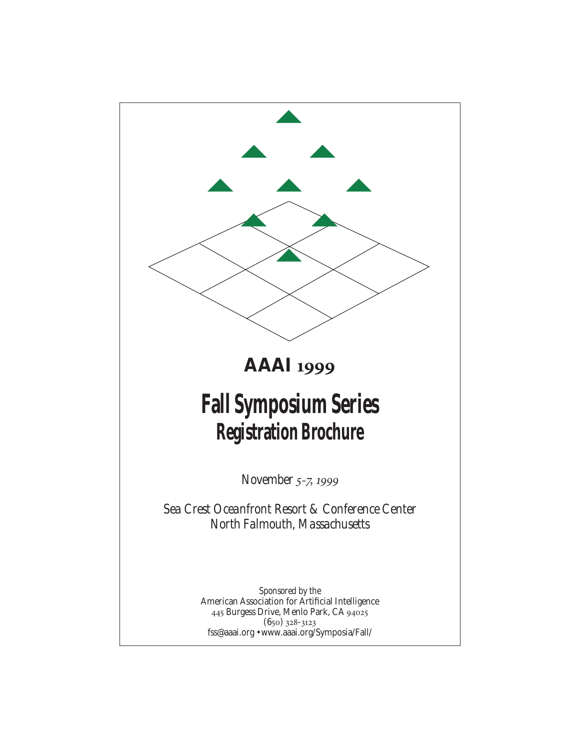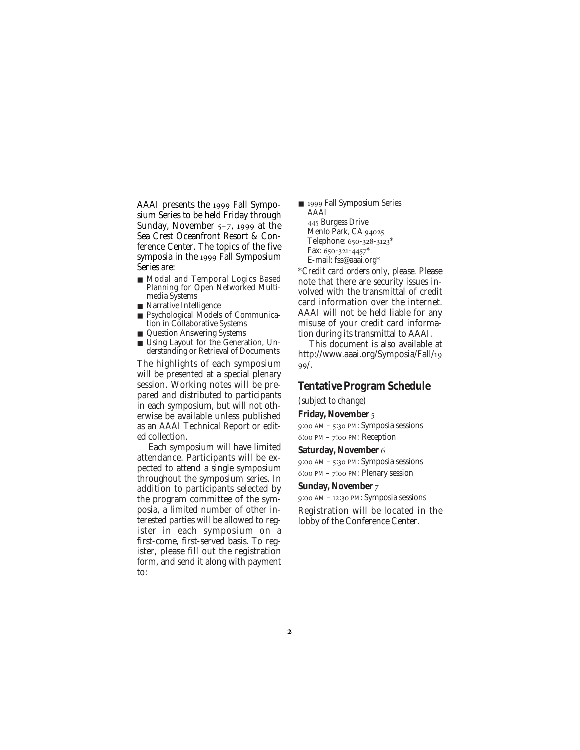AAAI presents the 1999 Fall Symposium Series to be held Friday through Sunday, November  $5-7$ , 1999 at the Sea Crest Oceanfront Resort & Conference Center. The topics of the five symposia in the 1999 Fall Symposium Series are:

- Modal and Temporal Logics Based Planning for Open Networked Multimedia Systems
- Narrative Intelligence
- Psychological Models of Communication in Collaborative Systems
- Question Answering Systems
- Using Layout for the Generation, Understanding or Retrieval of Documents

The highlights of each symposium will be presented at a special plenary session. Working notes will be prepared and distributed to participants in each symposium, but will not otherwise be available unless published as an AAAI Technical Report or edited collection.

Each symposium will have limited attendance. Participants will be expected to attend a single symposium throughout the symposium series. In addition to participants selected by the program committee of the symposia, a limited number of other interested parties will be allowed to register in each symposium on a first-come, first-served basis. To register, please fill out the registration form, and send it along with payment to:

■ 1999 Fall Symposium Series AAAI 445 Burgess Drive Menlo Park, CA Telephone: 650-328-3123\* Fax: 650-321-4457\* E-mail: fss@aaai.org\*

*\*Credit card orders only, please.* Please note that there are security issues involved with the transmittal of credit card information over the internet. AAAI will not be held liable for any misuse of your credit card information during its transmittal to AAAI.

This document is also available at http://www.aaai.org/Symposia/Fall/  $99/$ .

### **Tentative Program Schedule**

*(subject to change)*

#### **Friday, November**

9:00 AM – 5:30 PM: Symposia sessions  $6:$  PM –  $7:$  PM: Reception

#### **Saturday, November**

9:00 AM – 5:30 PM: Symposia sessions 6:00 PM - 7:00 PM: Plenary session

#### **Sunday, November**

 $9:00$  AM – 12:30 PM: Symposia sessions Registration will be located in the lobby of the Conference Center.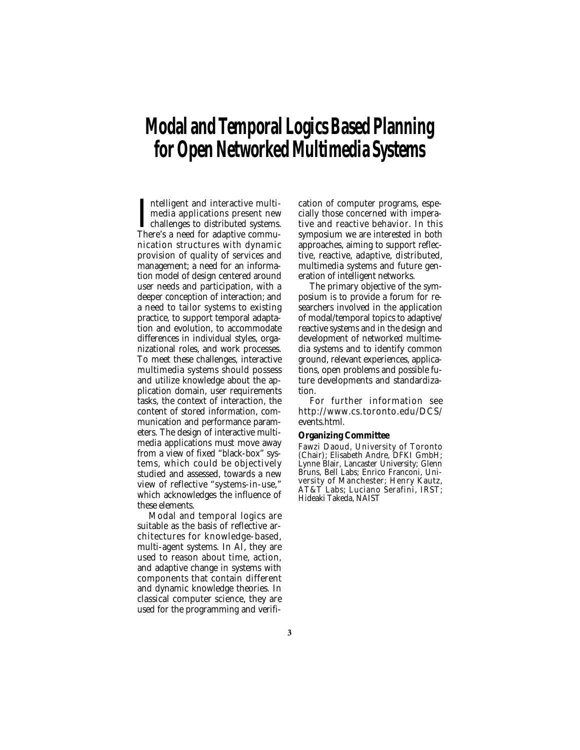# **Modal and Temporal Logics Based Planning for Open Networked Multimedia Systems**

Intelligent and interactive multi-<br>media applications present new<br>challenges to distributed systems.<br>There's a need for adaptive communtelligent and interactive multimedia applications present new challenges to distributed systems. nication structures with dynamic provision of quality of services and management; a need for an information model of design centered around user needs and participation, with a deeper conception of interaction; and a need to tailor systems to existing practice, to support temporal adaptation and evolution, to accommodate differences in individual styles, organizational roles, and work processes. To meet these challenges, interactive multimedia systems should possess and utilize knowledge about the application domain, user requirements tasks, the context of interaction, the content of stored information, communication and performance parameters. The design of interactive multimedia applications must move away from a view of fixed "black-box" systems, which could be objectively studied and assessed, towards a new view of reflective "systems-in-use," which acknowledges the influence of these elements.

Modal and temporal logics are suitable as the basis of reflective architectures for knowledge-based, multi-agent systems. In AI, they are used to reason about time, action, and adaptive change in systems with components that contain different and dynamic knowledge theories. In classical computer science, they are used for the programming and verification of computer programs, especially those concerned with imperative and reactive behavior. In this symposium we are interested in both approaches, aiming to support reflective, reactive, adaptive, distributed, multimedia systems and future generation of intelligent networks.

The primary objective of the symposium is to provide a forum for researchers involved in the application of modal/temporal topics to adaptive/ reactive systems and in the design and development of networked multimedia systems and to identify common ground, relevant experiences, applications, open problems and possible future developments and standardization.

For further information see http://www.cs.toronto.edu/DCS/ events.html.

#### **Organizing Committee**

Fawzi Daoud, University of Toronto (Chair); Elisabeth Andre, DFKI GmbH; Lynne Blair, Lancaster University; Glenn Bruns, Bell Labs; Enrico Franconi, University of Manchester; Henry Kautz, AT&T Labs; Luciano Serafini, IRST; Hideaki Takeda, NAIST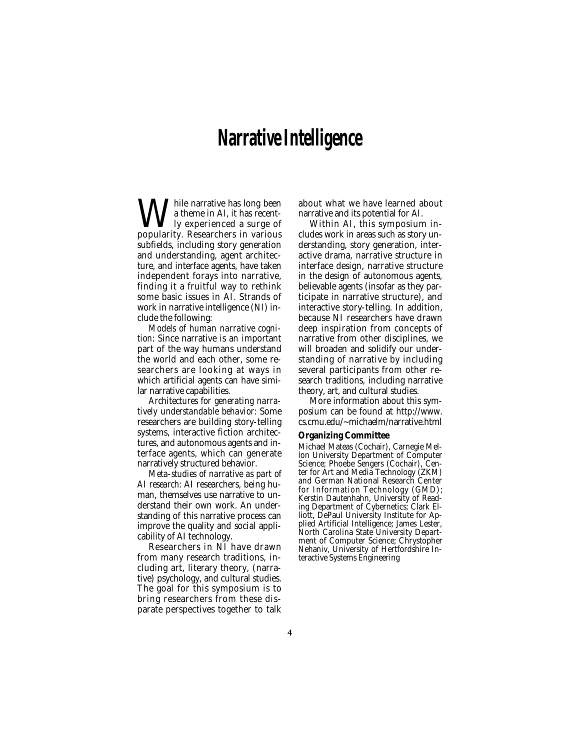# **Narrative Intelligence**

While narrative has long been popularity. Researchers in various a theme in AI, it has recently experienced a surge of subfields, including story generation and understanding, agent architecture, and interface agents, have taken independent forays into narrative, finding it a fruitful way to rethink some basic issues in AI. Strands of work in narrative intelligence (NI) include the following:

*Models of human narrative cognition:* Since narrative is an important part of the way humans understand the world and each other, some researchers are looking at ways in which artificial agents can have similar narrative capabilities.

*Architectures for generating narratively understandable behavior:* Some researchers are building story-telling systems, interactive fiction architectures, and autonomous agents and interface agents, which can generate narratively structured behavior.

*Meta-studies of narrative as part of AI research:* AI researchers, being human, themselves use narrative to understand their own work. An understanding of this narrative process can improve the quality and social applicability of AI technology.

Researchers in NI have drawn from many research traditions, including art, literary theory, (narrative) psychology, and cultural studies. The goal for this symposium is to bring researchers from these disparate perspectives together to talk about what we have learned about narrative and its potential for AI.

Within AI, this symposium includes work in areas such as story understanding, story generation, interactive drama, narrative structure in interface design, narrative structure in the design of autonomous agents, believable agents (insofar as they participate in narrative structure), and interactive story-telling. In addition, because NI researchers have drawn deep inspiration from concepts of narrative from other disciplines, we will broaden and solidify our understanding of narrative by including several participants from other research traditions, including narrative theory, art, and cultural studies.

More information about this symposium can be found at http://www. cs.cmu.edu/~michaelm/narrative.html

#### **Organizing Committee**

Michael Mateas (Cochair), Carnegie Mellon University Department of Computer Science; Phoebe Sengers (Cochair), Center for Art and Media Technology (ZKM) and German National Research Center for Information Technology (GMD); Kerstin Dautenhahn, University of Reading Department of Cybernetics; Clark Elliott, DePaul University Institute for Applied Artificial Intelligence; James Lester, North Carolina State University Department of Computer Science; Chrystopher Nehaniv, University of Hertfordshire Interactive Systems Engineering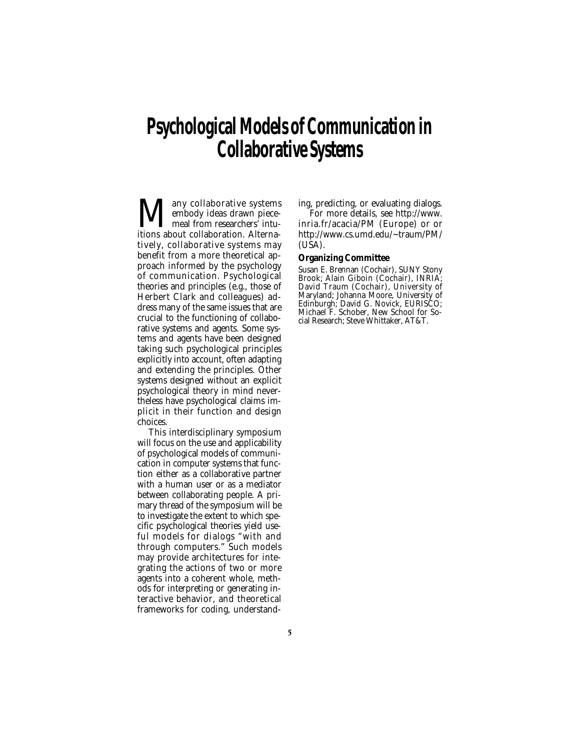# **Psychological Models of Communication in Collaborative Systems**

 $\displaystyle\prod_{\text{embody}}$  collaborative systems<br>itions about collaboration Alternaembody ideas drawn piecemeal from researchers<sup>*f*</sup> intuitions about collaboration. Alternatively, collaborative systems may benefit from a more theoretical approach informed by the psychology of communication. Psychological theories and principles (e.g., those of Herbert Clark and colleagues) address many of the same issues that are crucial to the functioning of collaborative systems and agents. Some systems and agents have been designed taking such psychological principles explicitly into account, often adapting and extending the principles. Other systems designed without an explicit psychological theory in mind nevertheless have psychological claims implicit in their function and design choices.

This interdisciplinary symposium will focus on the use and applicability of psychological models of communication in computer systems that function either as a collaborative partner with a human user or as a mediator between collaborating people. A primary thread of the symposium will be to investigate the extent to which specific psychological theories yield useful models for dialogs "with and through computers." Such models may provide architectures for integrating the actions of two or more agents into a coherent whole, methods for interpreting or generating interactive behavior, and theoretical frameworks for coding, understanding, predicting, or evaluating dialogs.

For more details, see http://www. inria.fr/acacia/PM (Europe) or or http://www.cs.umd.edu/~traum/PM/  $(U\bar{S}A)$ .

#### **Organizing Committee**

Susan E. Brennan (Cochair), SUNY Stony Brook; Alain Giboin (Cochair), INRIA; David Traum (Cochair), University of Maryland; Johanna Moore, University of Edinburgh; David G. Novick, EURISCO; Michael F. Schober, New School for Social Research; Steve Whittaker, AT&T.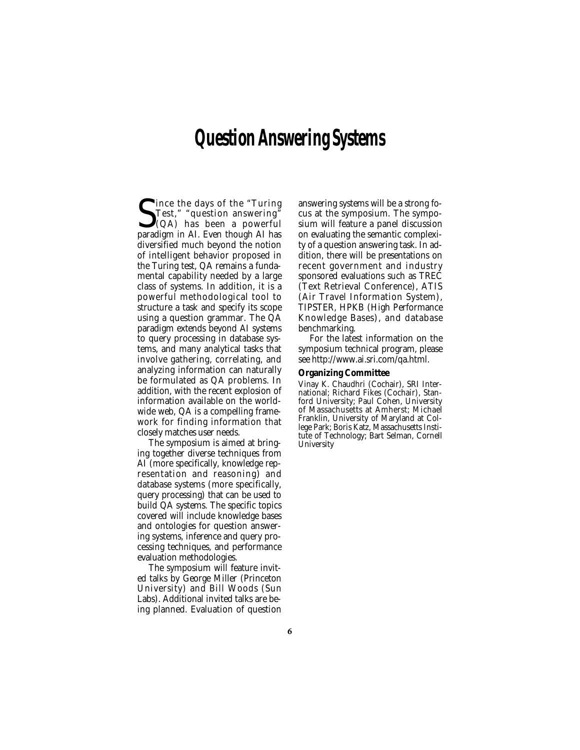# **Question Answering Systems**

S<sub>nara</sub> ince the days of the "Turing Test," "question answering" (QA) has been a powerful paradigm in AI. Even though AI has diversified much beyond the notion of intelligent behavior proposed in the Turing test, QA remains a fundamental capability needed by a large class of systems. In addition, it is a powerful methodological tool to structure a task and specify its scope using a question grammar. The QA paradigm extends beyond AI systems to query processing in database systems, and many analytical tasks that involve gathering, correlating, and analyzing information can naturally be formulated as QA problems. In addition, with the recent explosion of information available on the worldwide web, QA is a compelling framework for finding information that closely matches user needs.

The symposium is aimed at bringing together diverse techniques from AI (more specifically, knowledge representation and reasoning) and database systems (more specifically, query processing) that can be used to build QA systems. The specific topics covered will include knowledge bases and ontologies for question answering systems, inference and query processing techniques, and performance evaluation methodologies.

The symposium will feature invited talks by George Miller (Princeton University) and Bill Woods (Sun Labs). Additional invited talks are being planned. Evaluation of question answering systems will be a strong focus at the symposium. The symposium will feature a panel discussion on evaluating the semantic complexity of a question answering task. In addition, there will be presentations on recent government and industry sponsored evaluations such as TREC (Text Retrieval Conference), ATIS (Air Travel Information System), TIPSTER, HPKB (High Performance Knowledge Bases), and database benchmarking.

For the latest information on the symposium technical program, please see http://www.ai.sri.com/qa.html.

#### **Organizing Committee**

Vinay K. Chaudhri (Cochair), SRI International; Richard Fikes (Cochair), Stanford University; Paul Cohen, University of Massachusetts at Amherst; Michael Franklin, University of Maryland at College Park; Boris Katz, Massachusetts Institute of Technology; Bart Selman, Cornell **University**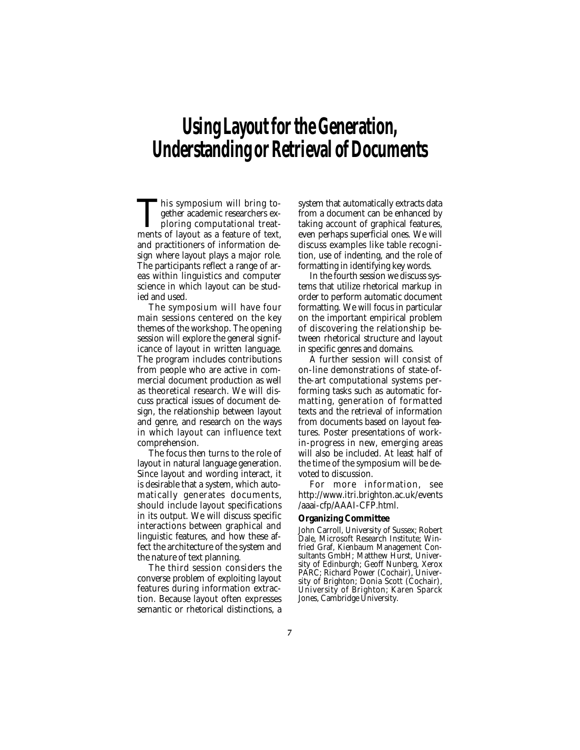# **Using Layout for the Generation, Understanding or Retrieval of Documents**

This symposium will bring to-<br>gether academic researchers ex-<br>ploring computational treat-<br>ments of lavout as a feature of text gether academic researchers exploring computational treatments of layout as a feature of text, and practitioners of information design where layout plays a major role. The participants reflect a range of areas within linguistics and computer science in which layout can be studied and used.

The symposium will have four main sessions centered on the key themes of the workshop. The opening session will explore the general significance of layout in written language. The program includes contributions from people who are active in commercial document production as well as theoretical research. We will discuss practical issues of document design, the relationship between layout and genre, and research on the ways in which layout can influence text comprehension.

The focus then turns to the role of layout in natural language generation. Since layout and wording interact, it is desirable that a system, which automatically generates documents, should include layout specifications in its output. We will discuss specific interactions between graphical and linguistic features, and how these affect the architecture of the system and the nature of text planning.

The third session considers the converse problem of exploiting layout features during information extraction. Because layout often expresses semantic or rhetorical distinctions, a system that automatically extracts data from a document can be enhanced by taking account of graphical features, even perhaps superficial ones. We will discuss examples like table recognition, use of indenting, and the role of formatting in identifying key words.

In the fourth session we discuss systems that utilize rhetorical markup in order to perform automatic document formatting. We will focus in particular on the important empirical problem of discovering the relationship between rhetorical structure and layout in specific genres and domains.

A further session will consist of on-line demonstrations of state-ofthe-art computational systems performing tasks such as automatic formatting, generation of formatted texts and the retrieval of information from documents based on layout features. Poster presentations of workin-progress in new, emerging areas will also be included. At least half of the time of the symposium will be devoted to discussion.

For more information, see http://www.itri.brighton.ac.uk/events /aaai-cfp/AAAI-CFP.html.

#### **Organizing Committee**

John Carroll, University of Sussex; Robert Dale, Microsoft Research Institute; Winfried Graf, Kienbaum Management Consultants GmbH; Matthew Hurst, University of Edinburgh; Geoff Nunberg, Xerox PARC; Richard Power (Cochair), University of Brighton; Donia Scott (Cochair), University of Brighton; Karen Sparck Jones, Cambridge University.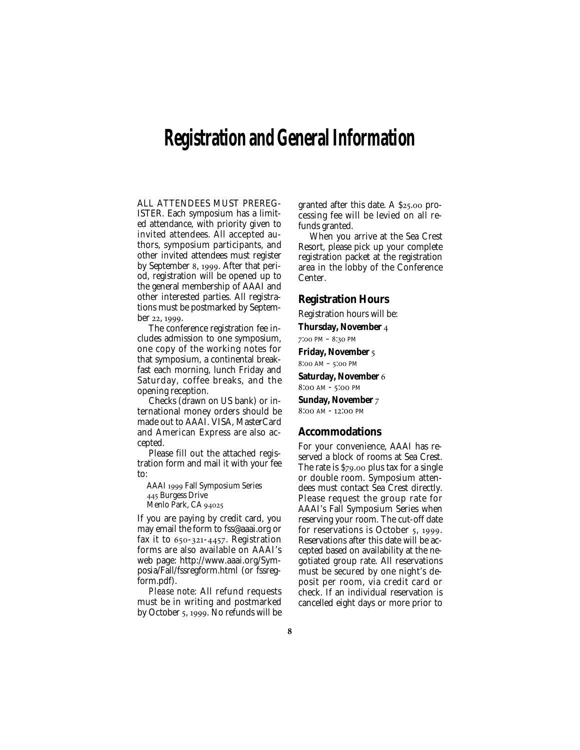# **Registration and General Information**

ALL ATTENDEES MUST PREREG-ISTER. Each symposium has a limited attendance, with priority given to invited attendees. All accepted authors, symposium participants, and other invited attendees must register by September 8, 1999. After that period, registration will be opened up to the general membership of AAAI and other interested parties. All registrations must be postmarked by September 22, 1999.

The conference registration fee includes admission to one symposium, one copy of the working notes for that symposium, a continental breakfast each morning, lunch Friday and Saturday, coffee breaks, and the opening reception.

Checks (drawn on US bank) or international money orders should be made out to AAAI. VISA, MasterCard and American Express are also accepted.

Please fill out the attached registration form and mail it with your fee to:

AAAI 1999 Fall Symposium Series 445 Burgess Drive

Menlo Park, CA 94025

If you are paying by credit card, you may email the form to fss@aaai.org or fax it to  $650-321-4457$ . Registration forms are also available on AAAI's web page: http://www.aaai.org/Symposia/Fall/fssregform.html (or fssregform.pdf).

*Please note:* All refund requests must be in writing and postmarked by October 5, 1999. No refunds will be granted after this date. A  $$25.00$  processing fee will be levied on all refunds granted.

When you arrive at the Sea Crest Resort, please pick up your complete registration packet at the registration area in the lobby of the Conference Center.

#### **Registration Hours**

Registration hours will be:

**Thursday, November**   $7:00 \text{ PM} - 8:30 \text{ PM}$ 

#### **Friday, November**

 $8:00$  AM –  $5:00$  PM

**Saturday, November**  8:00 AM - 5:00 PM

**Sunday, November**  8:00 AM - 12:00 PM

#### **Accommodations**

For your convenience, AAAI has reserved a block of rooms at Sea Crest. The rate is  $$79.00$  plus tax for a single or double room. Symposium attendees must contact Sea Crest directly. Please request the group rate for AAAI's Fall Symposium Series when reserving your room. The cut-off date for reservations is October 5, 1999. Reservations after this date will be accepted based on availability at the negotiated group rate. All reservations must be secured by one night's deposit per room, via credit card or check. If an individual reservation is cancelled eight days or more prior to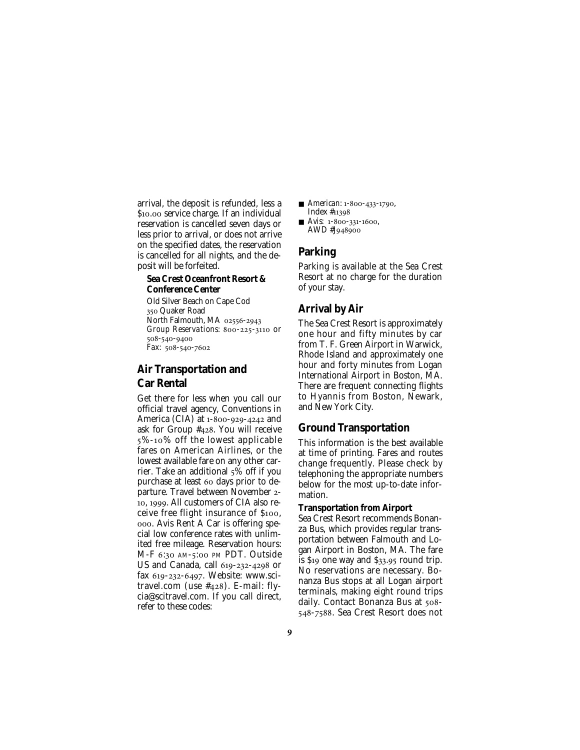arrival, the deposit is refunded, less a \$10.00 service charge. If an individual reservation is cancelled seven days or less prior to arrival, or does not arrive on the specified dates, the reservation is cancelled for all nights, and the deposit will be forfeited.

#### **Sea Crest Oceanfront Resort & Conference Center**

Old Silver Beach on Cape Cod 350 Quaker Road North Falmouth, MA 02556-2943 *Group Reservations: 800-225-3110 Or* 508-540-9400 *Fax:* 508-540-7602

# **Air Transportation and Car Rental**

Get there for less when you call our official travel agency, Conventions in America (CIA) at  $1-800-929-4242$  and ask for Group  $#428$ . You will receive %-% off the lowest applicable fares on American Airlines, or the lowest available fare on any other carrier. Take an additional  $5\%$  off if you purchase at least 60 days prior to departure. Travel between November - 10, 1999. All customers of CIA also receive free flight insurance of \$100, . Avis Rent A Car is offering special low conference rates with unlimited free mileage. Reservation hours: M-F 6:30 AM-5:00 PM PDT. Outside US and Canada, call  $619-232-4298$  or fax 619-232-6497. Website: www.scitravel.com (use  $#428$ ). E-mail: flycia@scitravel.com. If you call direct, refer to these codes:

- *American:* 1-800-433-1790, Index #
- $\blacksquare$  *Avis:* 1-800-331-1600, AWD #J948900

### **Parking**

Parking is available at the Sea Crest Resort at no charge for the duration of your stay.

# **Arrival by Air**

The Sea Crest Resort is approximately one hour and fifty minutes by car from T. F. Green Airport in Warwick, Rhode Island and approximately one hour and forty minutes from Logan International Airport in Boston, MA. There are frequent connecting flights to Hyannis from Boston, Newark, and New York City.

## **Ground Transportation**

This information is the best available at time of printing. Fares and routes change frequently. Please check by telephoning the appropriate numbers below for the most up-to-date information.

### **Transportation from Airport**

Sea Crest Resort recommends Bonanza Bus, which provides regular transportation between Falmouth and Logan Airport in Boston, MA. The fare is  $\$$ 19 one way and  $\$$ 33.95 round trip. No reservations are necessary. Bonanza Bus stops at all Logan airport terminals, making eight round trips daily. Contact Bonanza Bus at 508-548-7588. Sea Crest Resort does not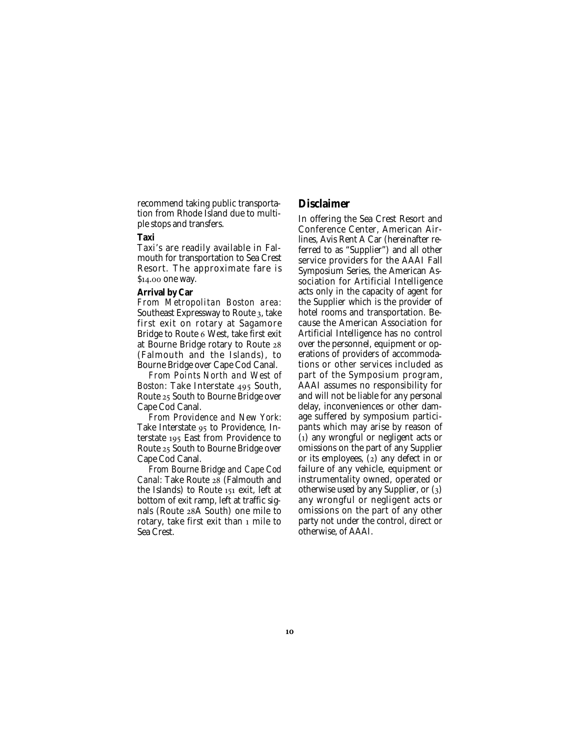recommend taking public transportation from Rhode Island due to multiple stops and transfers.

#### **Taxi**

Taxi's are readily available in Falmouth for transportation to Sea Crest Resort. The approximate fare is \$14.00 one way.

#### **Arrival by Car**

*From Metropolitan Boston area:* Southeast Expressway to Route 3, take first exit on rotary at Sagamore Bridge to Route 6 West, take first exit at Bourne Bridge rotary to Route (Falmouth and the Islands), to Bourne Bridge over Cape Cod Canal.

*From Points North and West of Boston:* Take Interstate 495 South, Route 25 South to Bourne Bridge over Cape Cod Canal.

*From Providence and New York:* Take Interstate 95 to Providence, Interstate 195 East from Providence to Route 25 South to Bourne Bridge over Cape Cod Canal.

*From Bourne Bridge and Cape Cod Canal: Take Route 28 (Falmouth and* the Islands) to Route  $151$  exit. left at bottom of exit ramp, left at traffic signals (Route 28A South) one mile to rotary, take first exit than  $_1$  mile to Sea Crest.

### **Disclaimer**

In offering the Sea Crest Resort and Conference Center, American Airlines, Avis Rent A Car (hereinafter referred to as "Supplier") and all other service providers for the AAAI Fall Symposium Series, the American Association for Artificial Intelligence acts only in the capacity of agent for the Supplier which is the provider of hotel rooms and transportation. Because the American Association for Artificial Intelligence has no control over the personnel, equipment or operations of providers of accommodations or other services included as part of the Symposium program, AAAI assumes no responsibility for and will not be liable for any personal delay, inconveniences or other damage suffered by symposium participants which may arise by reason of  $(i)$  any wrongful or negligent acts or omissions on the part of any Supplier or its employees,  $(z)$  any defect in or failure of any vehicle, equipment or instrumentality owned, operated or otherwise used by any Supplier, or  $(3)$ any wrongful or negligent acts or omissions on the part of any other party not under the control, direct or otherwise, of AAAI.